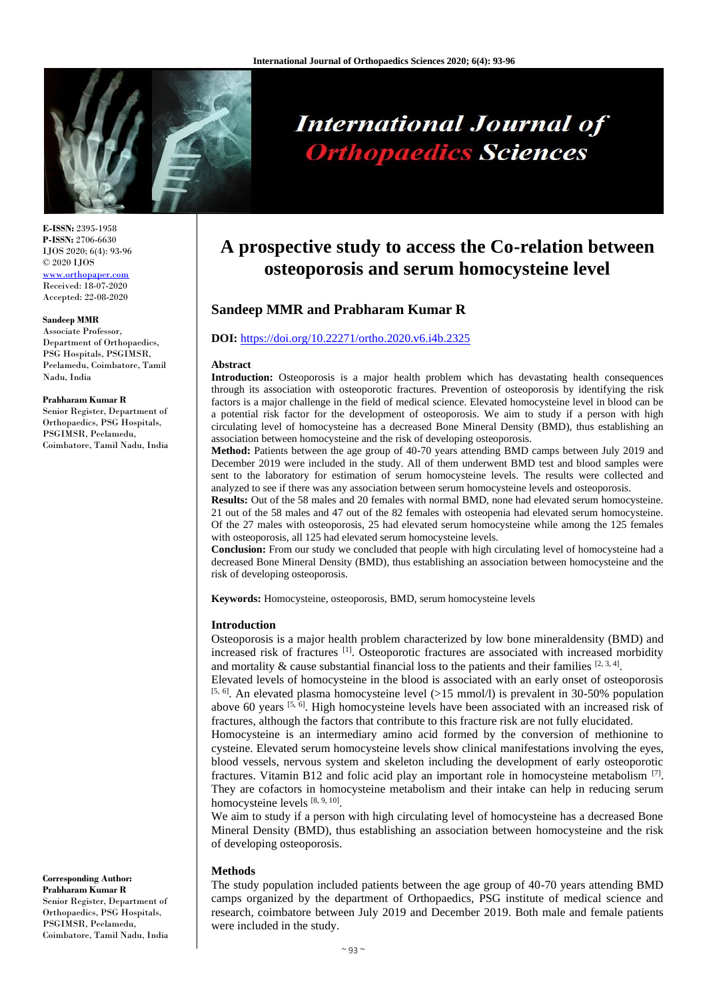

# **International Journal of Orthopaedics Sciences**

**E-ISSN:** 2395-1958 **P-ISSN:** 2706-6630 IJOS 2020; 6(4): 93-96 © 2020 IJOS www.orthopap Received: 18-07-2020 Accepted: 22-08-2020

#### **Sandeep MMR**

Associate Professor, Department of Orthopaedics, PSG Hospitals, PSGIMSR, Peelamedu, Coimbatore, Tamil Nadu, India

#### **Prabharam Kumar R**

Senior Register, Department of Orthopaedics, PSG Hospitals, PSGIMSR, Peelamedu, Coimbatore, Tamil Nadu, India

**Corresponding Author: Prabharam Kumar R** Senior Register, Department of Orthopaedics, PSG Hospitals, PSGIMSR, Peelamedu, Coimbatore, Tamil Nadu, India

## **A prospective study to access the Co-relation between osteoporosis and serum homocysteine level**

### **Sandeep MMR and Prabharam Kumar R**

#### **DOI:** <https://doi.org/10.22271/ortho.2020.v6.i4b.2325>

#### **Abstract**

**Introduction:** Osteoporosis is a major health problem which has devastating health consequences through its association with osteoporotic fractures. Prevention of osteoporosis by identifying the risk factors is a major challenge in the field of medical science. Elevated homocysteine level in blood can be a potential risk factor for the development of osteoporosis. We aim to study if a person with high circulating level of homocysteine has a decreased Bone Mineral Density (BMD), thus establishing an association between homocysteine and the risk of developing osteoporosis.

Method: Patients between the age group of 40-70 years attending BMD camps between July 2019 and December 2019 were included in the study. All of them underwent BMD test and blood samples were sent to the laboratory for estimation of serum homocysteine levels. The results were collected and analyzed to see if there was any association between serum homocysteine levels and osteoporosis.

**Results:** Out of the 58 males and 20 females with normal BMD, none had elevated serum homocysteine. 21 out of the 58 males and 47 out of the 82 females with osteopenia had elevated serum homocysteine. Of the 27 males with osteoporosis, 25 had elevated serum homocysteine while among the 125 females with osteoporosis, all 125 had elevated serum homocysteine levels.

**Conclusion:** From our study we concluded that people with high circulating level of homocysteine had a decreased Bone Mineral Density (BMD), thus establishing an association between homocysteine and the risk of developing osteoporosis.

**Keywords:** Homocysteine, osteoporosis, BMD, serum homocysteine levels

#### **Introduction**

Osteoporosis is a major health problem characterized by low bone mineraldensity (BMD) and increased risk of fractures <sup>[1]</sup>. Osteoporotic fractures are associated with increased morbidity and mortality  $\&$  cause substantial financial loss to the patients and their families  $[2, 3, 4]$ .

Elevated levels of homocysteine in the blood is associated with an early onset of osteoporosis  $[5, 6]$ . An elevated plasma homocysteine level (>15 mmol/l) is prevalent in 30-50% population above 60 years <sup>[5, 6]</sup>. High homocysteine levels have been associated with an increased risk of fractures, although the factors that contribute to this fracture risk are not fully elucidated.

Homocysteine is an intermediary amino acid formed by the conversion of methionine to cysteine. Elevated serum homocysteine levels show clinical manifestations involving the eyes, blood vessels, nervous system and skeleton including the development of early osteoporotic fractures. Vitamin B12 and folic acid play an important role in homocysteine metabolism  $^{[7]}$ . They are cofactors in homocysteine metabolism and their intake can help in reducing serum homocysteine levels [8, 9, 10].

We aim to study if a person with high circulating level of homocysteine has a decreased Bone Mineral Density (BMD), thus establishing an association between homocysteine and the risk of developing osteoporosis.

#### **Methods**

The study population included patients between the age group of 40-70 years attending BMD camps organized by the department of Orthopaedics, PSG institute of medical science and research, coimbatore between July 2019 and December 2019. Both male and female patients were included in the study.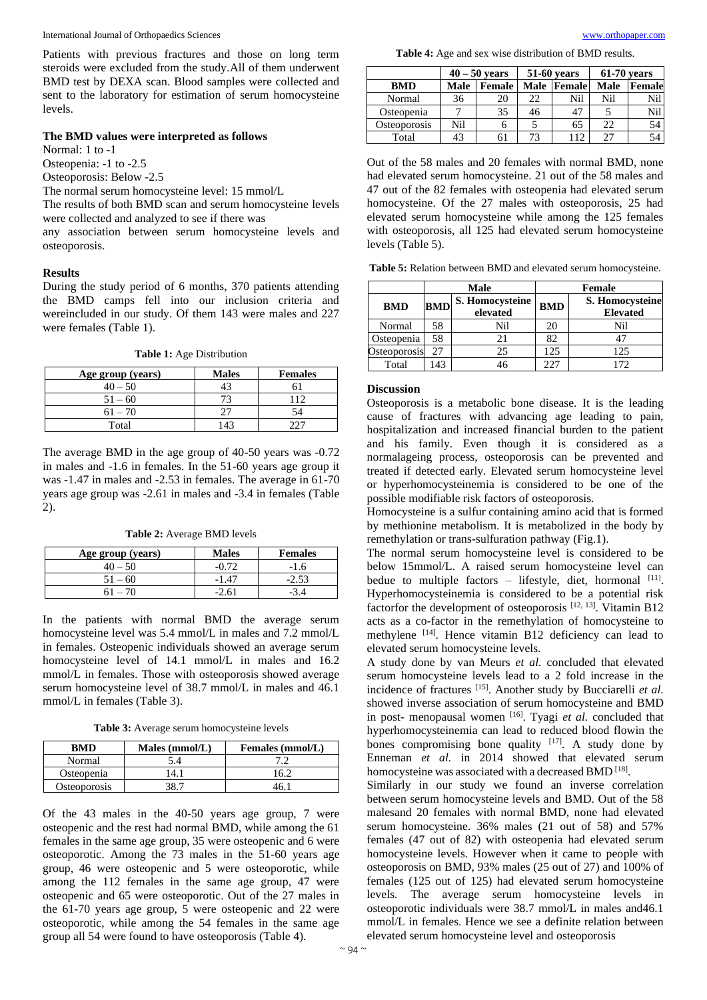Patients with previous fractures and those on long term steroids were excluded from the study.All of them underwent BMD test by DEXA scan. Blood samples were collected and sent to the laboratory for estimation of serum homocysteine levels.

#### **The BMD values were interpreted as follows**

Normal: 1 to -1

Osteopenia: -1 to -2.5

Osteoporosis: Below -2.5

The normal serum homocysteine level: 15 mmol/L

The results of both BMD scan and serum homocysteine levels were collected and analyzed to see if there was

any association between serum homocysteine levels and osteoporosis.

#### **Results**

During the study period of 6 months, 370 patients attending the BMD camps fell into our inclusion criteria and wereincluded in our study. Of them 143 were males and 227 were females (Table 1).

**Table 1:** Age Distribution

| Age group (years) | <b>Males</b> | <b>Females</b> |
|-------------------|--------------|----------------|
| $40 - 50$         |              |                |
| $51 - 60$         |              |                |
| $61 - 70$         |              |                |
| Total             |              |                |

The average BMD in the age group of 40-50 years was -0.72 in males and -1.6 in females. In the 51-60 years age group it was -1.47 in males and -2.53 in females. The average in 61-70 years age group was -2.61 in males and -3.4 in females (Table 2).

**Table 2:** Average BMD levels

| Age group (years) | <b>Males</b> | <b>Females</b> |
|-------------------|--------------|----------------|
|                   |              | -16            |
| $51 - 60$         |              |                |
|                   |              |                |

In the patients with normal BMD the average serum homocysteine level was 5.4 mmol/L in males and 7.2 mmol/L in females. Osteopenic individuals showed an average serum homocysteine level of 14.1 mmol/L in males and 16.2 mmol/L in females. Those with osteoporosis showed average serum homocysteine level of 38.7 mmol/L in males and 46.1 mmol/L in females (Table 3).

**Table 3:** Average serum homocysteine levels

| <b>RMD</b>   | Males $(mmol/L)$ | Females (mmol/L) |
|--------------|------------------|------------------|
| Normal       |                  |                  |
| Osteopenia   | 4                | 16.2             |
| Osteoporosis |                  |                  |

Of the 43 males in the 40-50 years age group, 7 were osteopenic and the rest had normal BMD, while among the 61 females in the same age group, 35 were osteopenic and 6 were osteoporotic. Among the 73 males in the 51-60 years age group, 46 were osteopenic and 5 were osteoporotic, while among the 112 females in the same age group, 47 were osteopenic and 65 were osteoporotic. Out of the 27 males in the 61-70 years age group, 5 were osteopenic and 22 were osteoporotic, while among the 54 females in the same age group all 54 were found to have osteoporosis (Table 4).

**Table 4:** Age and sex wise distribution of BMD results.

|              | $40 - 50$ vears |        | 51-60 years |        | $61-70$ years |               |
|--------------|-----------------|--------|-------------|--------|---------------|---------------|
| <b>BMD</b>   | Male            | Female | <b>Male</b> | Female | <b>Male</b>   | <b>Female</b> |
| Normal       | 36              | 20     | 22          | Nil    | Nil           | Nil           |
| Osteopenia   |                 | 35     | 46          | 47     |               | Nil           |
| Osteoporosis | Nil             | O      |             | 65     | 22            | 54            |
| Total        | 43              |        | 73          | 112    | 27            | 54            |

Out of the 58 males and 20 females with normal BMD, none had elevated serum homocysteine. 21 out of the 58 males and 47 out of the 82 females with osteopenia had elevated serum homocysteine. Of the 27 males with osteoporosis, 25 had elevated serum homocysteine while among the 125 females with osteoporosis, all 125 had elevated serum homocysteine levels (Table 5).

**Table 5:** Relation between BMD and elevated serum homocysteine.

|                   | <b>Male</b> |                             | Female     |                                    |
|-------------------|-------------|-----------------------------|------------|------------------------------------|
| <b>BMD</b>        | <b>BMD</b>  | S. Homocysteine<br>elevated | <b>BMD</b> | S. Homocysteine<br><b>Elevated</b> |
| Normal            | 58          | Nil                         | 20         | Nil                                |
| <b>Osteopenia</b> | 58          |                             | 82         |                                    |
| Osteoporosis      |             | 25                          | 125        | 125                                |
| Total             | 43          | 46                          | 227        | 172                                |

#### **Discussion**

Osteoporosis is a metabolic bone disease. It is the leading cause of fractures with advancing age leading to pain, hospitalization and increased financial burden to the patient and his family. Even though it is considered as a normalageing process, osteoporosis can be prevented and treated if detected early. Elevated serum homocysteine level or hyperhomocysteinemia is considered to be one of the possible modifiable risk factors of osteoporosis.

Homocysteine is a sulfur containing amino acid that is formed by methionine metabolism. It is metabolized in the body by remethylation or trans-sulfuration pathway (Fig.1).

The normal serum homocysteine level is considered to be below 15mmol/L. A raised serum homocysteine level can bedue to multiple factors - lifestyle, diet, hormonal [11]. Hyperhomocysteinemia is considered to be a potential risk factorfor the development of osteoporosis  $^{[12, 13]}$ . Vitamin B12 acts as a co-factor in the remethylation of homocysteine to methylene [14]. Hence vitamin B12 deficiency can lead to elevated serum homocysteine levels.

A study done by van Meurs *et al.* concluded that elevated serum homocysteine levels lead to a 2 fold increase in the incidence of fractures [15]. Another study by Bucciarelli *et al.* showed inverse association of serum homocysteine and BMD in post- menopausal women [16]. Tyagi *et al.* concluded that hyperhomocysteinemia can lead to reduced blood flowin the bones compromising bone quality [17]. A study done by Enneman *et al.* in 2014 showed that elevated serum homocysteine was associated with a decreased BMD<sup>[18]</sup>.

Similarly in our study we found an inverse correlation between serum homocysteine levels and BMD. Out of the 58 malesand 20 females with normal BMD, none had elevated serum homocysteine. 36% males (21 out of 58) and 57% females (47 out of 82) with osteopenia had elevated serum homocysteine levels. However when it came to people with osteoporosis on BMD, 93% males (25 out of 27) and 100% of females (125 out of 125) had elevated serum homocysteine levels. The average serum homocysteine levels in osteoporotic individuals were 38.7 mmol/L in males and46.1 mmol/L in females. Hence we see a definite relation between elevated serum homocysteine level and osteoporosis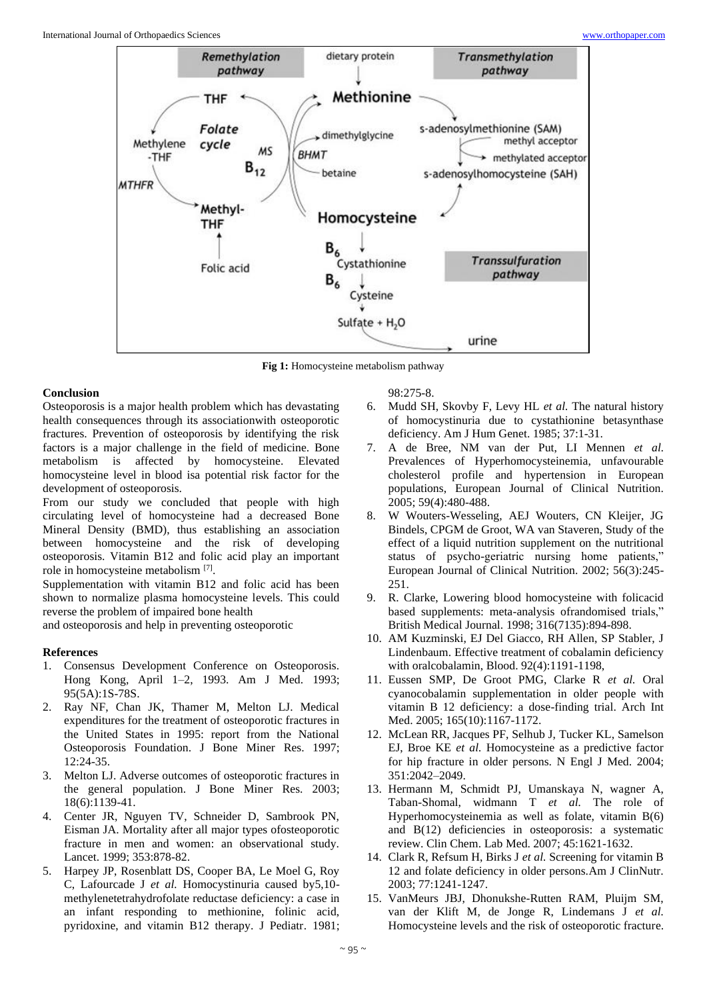

**Fig 1:** Homocysteine metabolism pathway

#### **Conclusion**

Osteoporosis is a major health problem which has devastating health consequences through its associationwith osteoporotic fractures. Prevention of osteoporosis by identifying the risk factors is a major challenge in the field of medicine. Bone metabolism is affected by homocysteine. Elevated homocysteine level in blood isa potential risk factor for the development of osteoporosis.

From our study we concluded that people with high circulating level of homocysteine had a decreased Bone Mineral Density (BMD), thus establishing an association between homocysteine and the risk of developing osteoporosis. Vitamin B12 and folic acid play an important role in homocysteine metabolism [7] .

Supplementation with vitamin B12 and folic acid has been shown to normalize plasma homocysteine levels. This could reverse the problem of impaired bone health

and osteoporosis and help in preventing osteoporotic

#### **References**

- 1. Consensus Development Conference on Osteoporosis. Hong Kong, April 1–2, 1993. Am J Med. 1993; 95(5A):1S-78S.
- 2. Ray NF, Chan JK, Thamer M, Melton LJ. Medical expenditures for the treatment of osteoporotic fractures in the United States in 1995: report from the National Osteoporosis Foundation. J Bone Miner Res. 1997; 12:24-35.
- 3. Melton LJ. Adverse outcomes of osteoporotic fractures in the general population. J Bone Miner Res. 2003; 18(6):1139-41.
- 4. Center JR, Nguyen TV, Schneider D, Sambrook PN, Eisman JA. Mortality after all major types ofosteoporotic fracture in men and women: an observational study. Lancet. 1999; 353:878-82.
- 5. Harpey JP, Rosenblatt DS, Cooper BA, Le Moel G, Roy C, Lafourcade J *et al.* Homocystinuria caused by5,10 methylenetetrahydrofolate reductase deficiency: a case in an infant responding to methionine, folinic acid, pyridoxine, and vitamin B12 therapy. J Pediatr. 1981;

98:275-8.

- 6. Mudd SH, Skovby F, Levy HL *et al.* The natural history of homocystinuria due to cystathionine betasynthase deficiency. Am J Hum Genet. 1985; 37:1-31.
- 7. A de Bree, NM van der Put, LI Mennen *et al.* Prevalences of Hyperhomocysteinemia, unfavourable cholesterol profile and hypertension in European populations, European Journal of Clinical Nutrition. 2005; 59(4):480-488.
- 8. W Wouters-Wesseling, AEJ Wouters, CN Kleijer, JG Bindels, CPGM de Groot, WA van Staveren, Study of the effect of a liquid nutrition supplement on the nutritional status of psycho-geriatric nursing home patients," European Journal of Clinical Nutrition. 2002; 56(3):245- 251.
- 9. R. Clarke, Lowering blood homocysteine with folicacid based supplements: meta-analysis ofrandomised trials," British Medical Journal. 1998; 316(7135):894-898.
- 10. AM Kuzminski, EJ Del Giacco, RH Allen, SP Stabler, J Lindenbaum. Effective treatment of cobalamin deficiency with oralcobalamin, Blood. 92(4):1191-1198,
- 11. Eussen SMP, De Groot PMG, Clarke R *et al.* Oral cyanocobalamin supplementation in older people with vitamin B 12 deficiency: a dose-finding trial. Arch Int Med. 2005; 165(10):1167-1172.
- 12. McLean RR, Jacques PF, Selhub J, Tucker KL, Samelson EJ, Broe KE *et al.* Homocysteine as a predictive factor for hip fracture in older persons. N Engl J Med. 2004; 351:2042–2049.
- 13. Hermann M, Schmidt PJ, Umanskaya N, wagner A, Taban-Shomal, widmann T *et al.* The role of Hyperhomocysteinemia as well as folate, vitamin B(6) and B(12) deficiencies in osteoporosis: a systematic review. Clin Chem. Lab Med. 2007; 45:1621-1632.
- 14. Clark R, Refsum H, Birks J *et al.* Screening for vitamin B 12 and folate deficiency in older persons.Am J ClinNutr. 2003; 77:1241-1247.
- 15. VanMeurs JBJ, Dhonukshe-Rutten RAM, Pluijm SM, van der Klift M, de Jonge R, Lindemans J *et al.* Homocysteine levels and the risk of osteoporotic fracture.